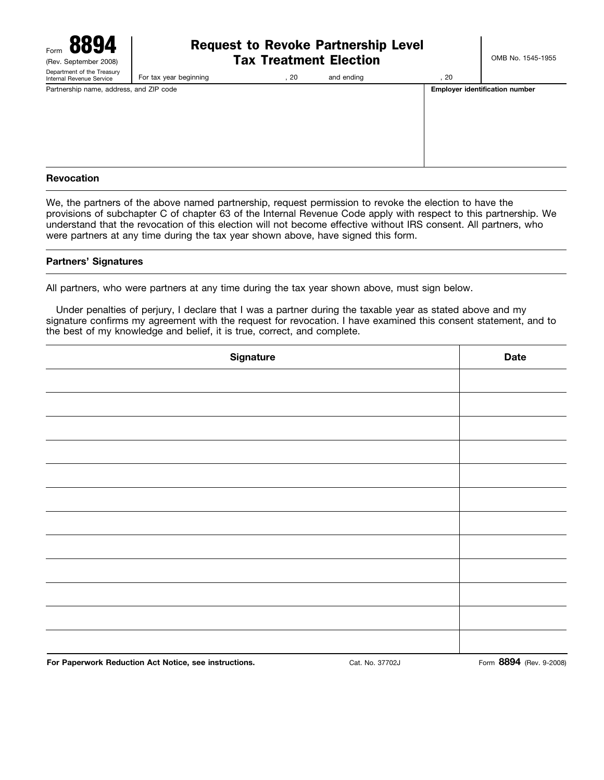Department of the Treasury

# $\mathcal{L}_{\text{Form}}$  **8894** Request to Revoke Partnership Level<br> **Tax Treatment Election** Tax Treatment Election **Canadian Comb No. 1545-1955**

| Internal Revenue Service                | For tax year beginning | 20 | and ending | 20 |                                       |  |  |
|-----------------------------------------|------------------------|----|------------|----|---------------------------------------|--|--|
| Partnership name, address, and ZIP code |                        |    |            |    | <b>Employer identification number</b> |  |  |
|                                         |                        |    |            |    |                                       |  |  |
|                                         |                        |    |            |    |                                       |  |  |
|                                         |                        |    |            |    |                                       |  |  |
|                                         |                        |    |            |    |                                       |  |  |
|                                         |                        |    |            |    |                                       |  |  |
|                                         |                        |    |            |    |                                       |  |  |

### **Revocation**

We, the partners of the above named partnership, request permission to revoke the election to have the provisions of subchapter C of chapter 63 of the Internal Revenue Code apply with respect to this partnership. We understand that the revocation of this election will not become effective without IRS consent. All partners, who were partners at any time during the tax year shown above, have signed this form.

#### **Partners' Signatures**

All partners, who were partners at any time during the tax year shown above, must sign below.

Under penalties of perjury, I declare that I was a partner during the taxable year as stated above and my signature confirms my agreement with the request for revocation. I have examined this consent statement, and to the best of my knowledge and belief, it is true, correct, and complete.

| <b>Signature</b> | <b>Date</b> |
|------------------|-------------|
|                  |             |
|                  |             |
|                  |             |
|                  |             |
|                  |             |
|                  |             |
|                  |             |
|                  |             |
|                  |             |
|                  |             |
|                  |             |
|                  |             |

**For Paperwork Reduction Act Notice, see instructions.** Cat. No. 37702J Form 8894 (Rev. 9-2008)